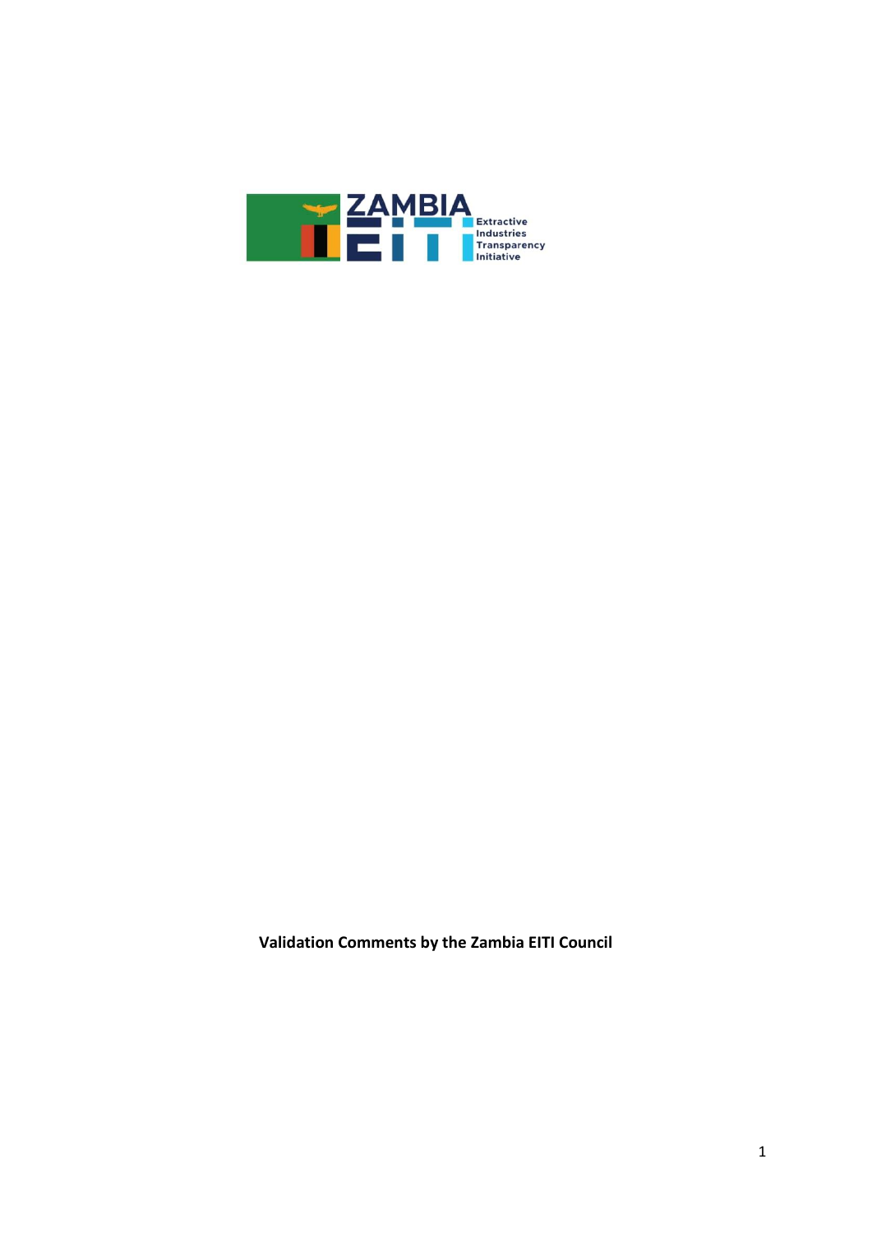

**Validation Comments by the Zambia EITI Council**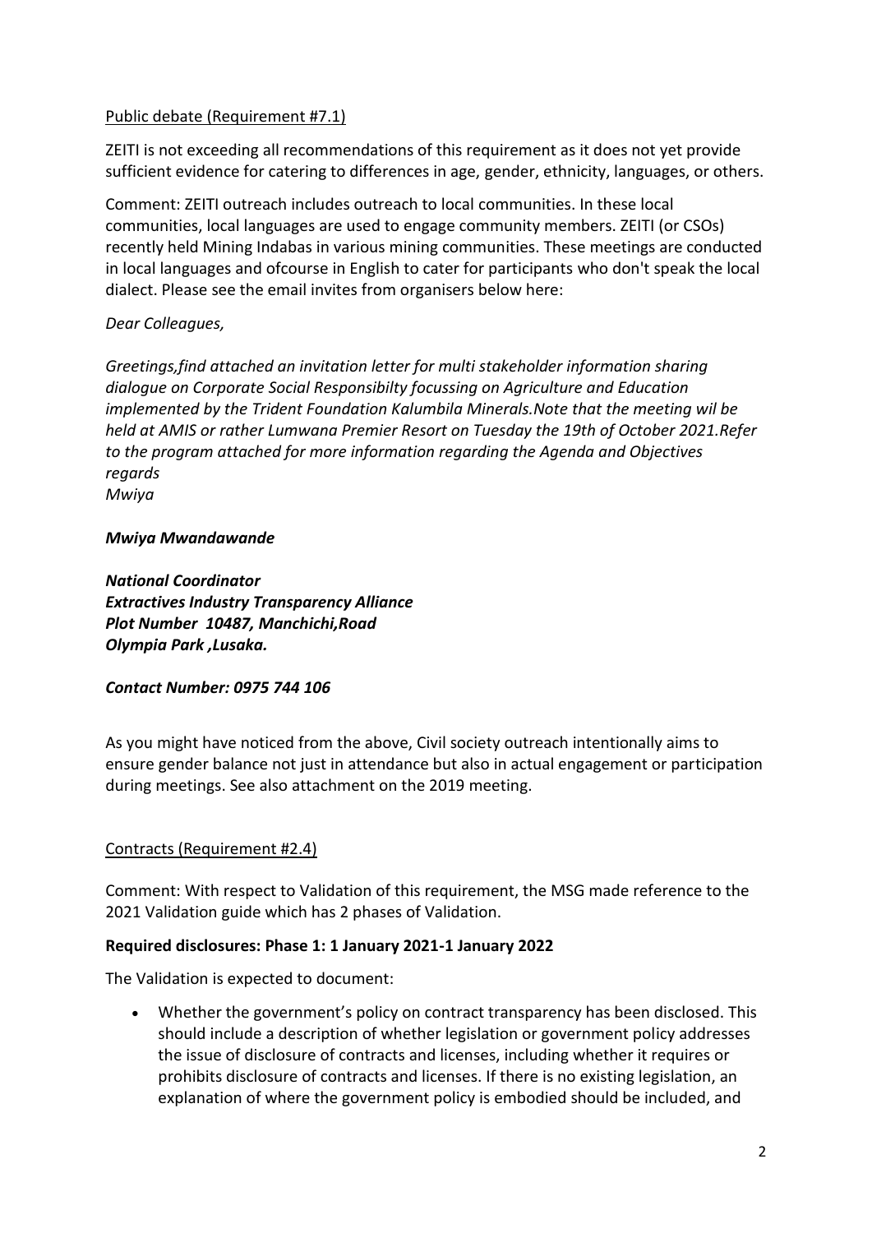# Public debate (Requirement #7.1)

ZEITI is not exceeding all recommendations of this requirement as it does not yet provide sufficient evidence for catering to differences in age, gender, ethnicity, languages, or others.

Comment: ZEITI outreach includes outreach to local communities. In these local communities, local languages are used to engage community members. ZEITI (or CSOs) recently held Mining Indabas in various mining communities. These meetings are conducted in local languages and ofcourse in English to cater for participants who don't speak the local dialect. Please see the email invites from organisers below here:

### *Dear Colleagues,*

*Greetings,find attached an invitation letter for multi stakeholder information sharing dialogue on Corporate Social Responsibilty focussing on Agriculture and Education implemented by the Trident Foundation Kalumbila Minerals.Note that the meeting wil be held at AMIS or rather Lumwana Premier Resort on Tuesday the 19th of October 2021.Refer to the program attached for more information regarding the Agenda and Objectives regards*

*Mwiya*

### *Mwiya Mwandawande*

*National Coordinator Extractives Industry Transparency Alliance Plot Number 10487, Manchichi,Road Olympia Park ,Lusaka.*

### *Contact Number: 0975 744 106*

As you might have noticed from the above, Civil society outreach intentionally aims to ensure gender balance not just in attendance but also in actual engagement or participation during meetings. See also attachment on the 2019 meeting.

# Contracts (Requirement #2.4)

Comment: With respect to Validation of this requirement, the MSG made reference to the 2021 Validation guide which has 2 phases of Validation.

### **Required disclosures: Phase 1: 1 January 2021-1 January 2022**

The Validation is expected to document:

• Whether the government's policy on contract transparency has been disclosed. This should include a description of whether legislation or government policy addresses the issue of disclosure of contracts and licenses, including whether it requires or prohibits disclosure of contracts and licenses. If there is no existing legislation, an explanation of where the government policy is embodied should be included, and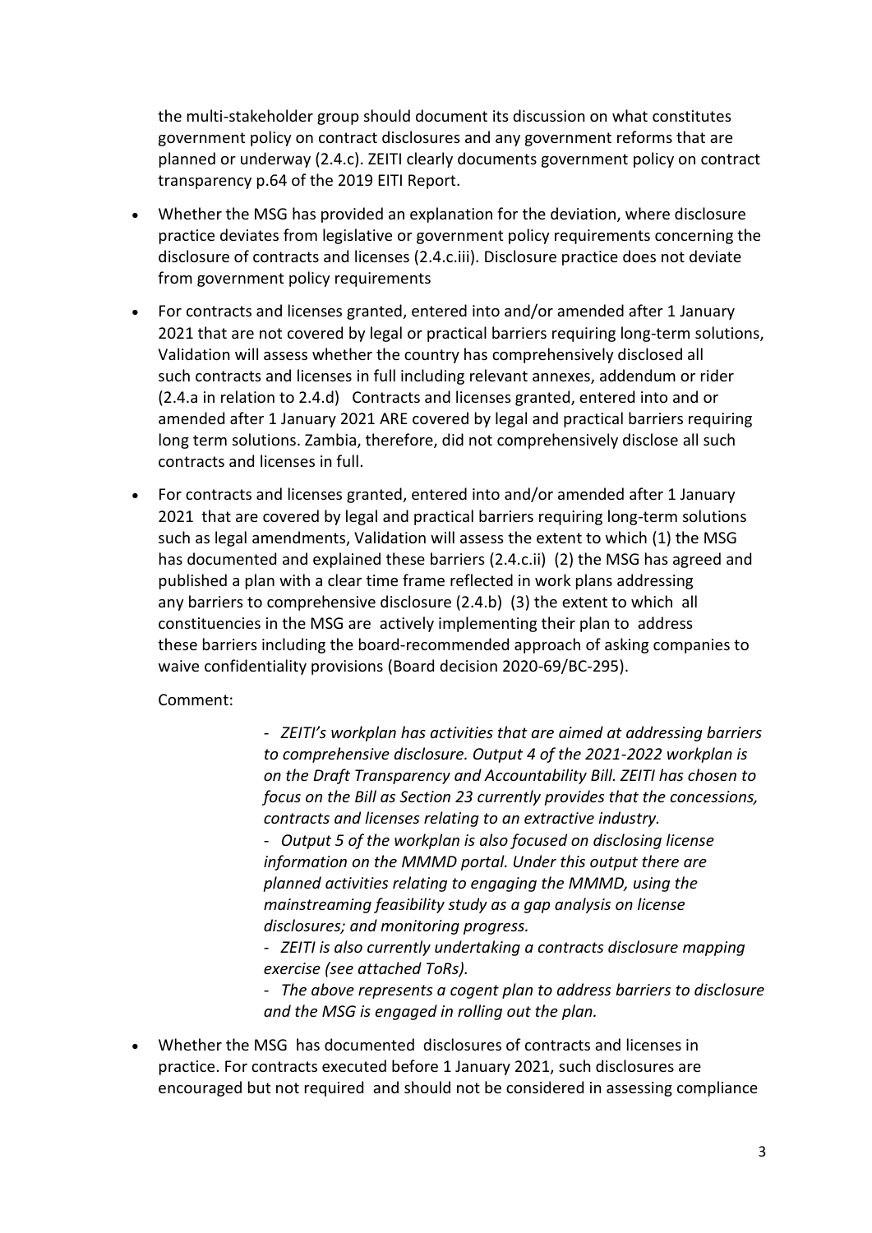the multi-stakeholder group should document its discussion on what constitutes government policy on contract disclosures and any government reforms that are planned or underway (2.4.c). ZEITI clearly documents government policy on contract transparency p.64 of the 2019 EITI Report.

- Whether the MSG has provided an explanation for the deviation, where disclosure practice deviates from legislative or government policy requirements concerning the disclosure of contracts and licenses (2.4.c.iii). Disclosure practice does not deviate from government policy requirements
- For contracts and licenses granted, entered into and/or amended after 1 January 2021 that are not covered by legal or practical barriers requiring long-term solutions, Validation will assess whether the country has comprehensively disclosed all such contracts and licenses in full including relevant annexes, addendum or rider (2.4.a in relation to 2.4.d) Contracts and licenses granted, entered into and or amended after 1 January 2021 ARE covered by legal and practical barriers requiring long term solutions. Zambia, therefore, did not comprehensively disclose all such contracts and licenses in full.
- For contracts and licenses granted, entered into and/or amended after 1 January 2021 that are covered by legal and practical barriers requiring long-term solutions such as legal amendments, Validation will assess the extent to which (1) the MSG has documented and explained these barriers (2.4.c.ii) (2) the MSG has agreed and published a plan with a clear time frame reflected in work plans addressing any barriers to comprehensive disclosure (2.4.b) (3) the extent to which all constituencies in the MSG are actively implementing their plan to address these barriers including the board-recommended approach of asking companies to waive confidentiality provisions (Board decision 2020-69/BC-295).

Comment:

*- ZEITI's workplan has activities that are aimed at addressing barriers to comprehensive disclosure. Output 4 of the 2021-2022 workplan is on the Draft Transparency and Accountability Bill. ZEITI has chosen to focus on the Bill as Section 23 currently provides that the concessions, contracts and licenses relating to an extractive industry.*

*- Output 5 of the workplan is also focused on disclosing license information on the MMMD portal. Under this output there are planned activities relating to engaging the MMMD, using the mainstreaming feasibility study as a gap analysis on license disclosures; and monitoring progress.*

*- ZEITI is also currently undertaking a contracts disclosure mapping exercise (see attached ToRs).*

*- The above represents a cogent plan to address barriers to disclosure and the MSG is engaged in rolling out the plan.*

• Whether the MSG has documented disclosures of contracts and licenses in practice. For contracts executed before 1 January 2021, such disclosures are encouraged but not required and should not be considered in assessing compliance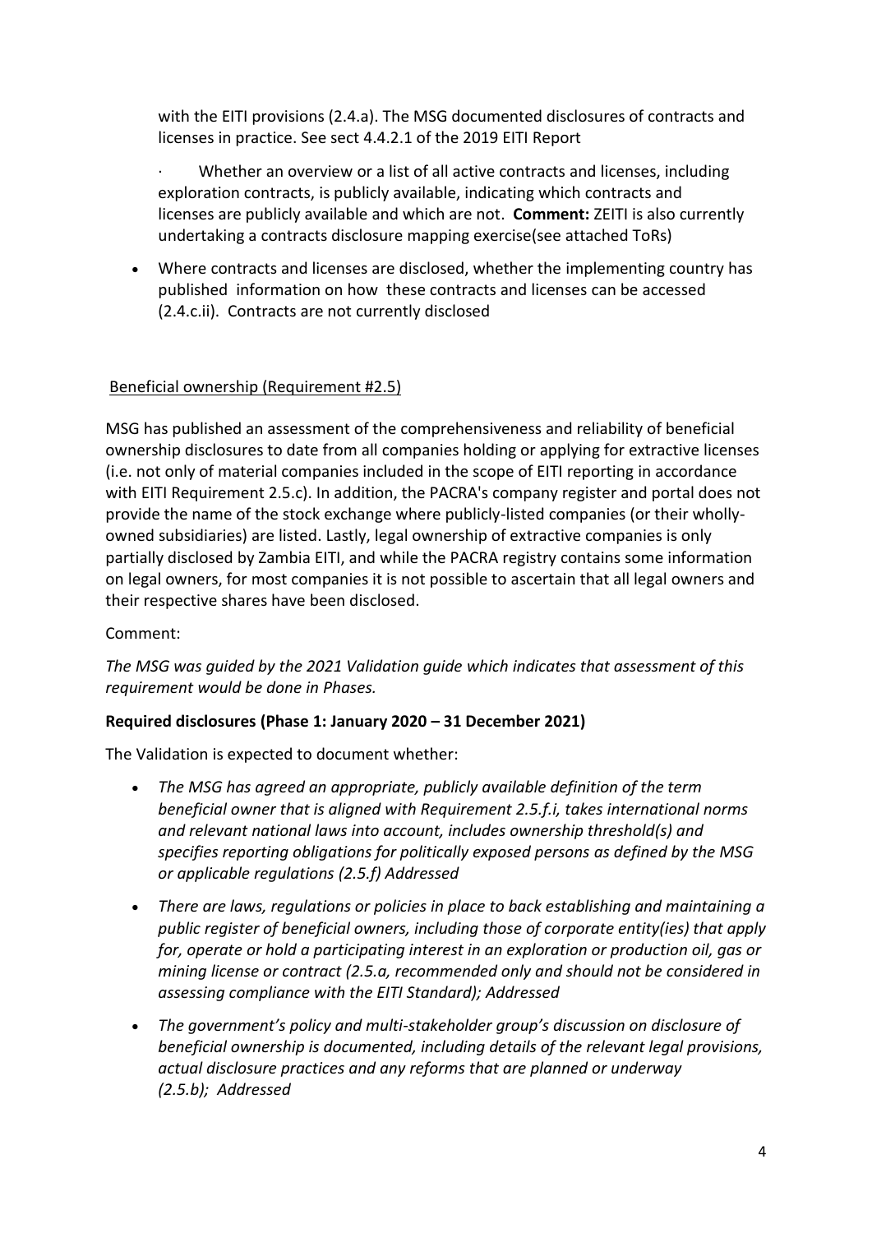with the EITI provisions (2.4.a). The MSG documented disclosures of contracts and licenses in practice. See sect 4.4.2.1 of the 2019 EITI Report

Whether an overview or a list of all active contracts and licenses, including exploration contracts, is publicly available, indicating which contracts and licenses are publicly available and which are not. **Comment:** ZEITI is also currently undertaking a contracts disclosure mapping exercise(see attached ToRs)

• Where contracts and licenses are disclosed, whether the implementing country has published information on how these contracts and licenses can be accessed (2.4.c.ii). Contracts are not currently disclosed

# Beneficial ownership (Requirement #2.5)

MSG has published an assessment of the comprehensiveness and reliability of beneficial ownership disclosures to date from all companies holding or applying for extractive licenses (i.e. not only of material companies included in the scope of EITI reporting in accordance with EITI Requirement 2.5.c). In addition, the PACRA's company register and portal does not provide the name of the stock exchange where publicly-listed companies (or their whollyowned subsidiaries) are listed. Lastly, legal ownership of extractive companies is only partially disclosed by Zambia EITI, and while the PACRA registry contains some information on legal owners, for most companies it is not possible to ascertain that all legal owners and their respective shares have been disclosed.

# Comment:

*The MSG was guided by the 2021 Validation guide which indicates that assessment of this requirement would be done in Phases.*

# **Required disclosures (Phase 1: January 2020 – 31 December 2021)**

The Validation is expected to document whether:

- *The MSG has agreed an appropriate, publicly available definition of the term beneficial owner that is aligned with Requirement 2.5.f.i, takes international norms and relevant national laws into account, includes ownership threshold(s) and specifies reporting obligations for politically exposed persons as defined by the MSG or applicable regulations (2.5.f) Addressed*
- *There are laws, regulations or policies in place to back establishing and maintaining a public register of beneficial owners, including those of corporate entity(ies) that apply for, operate or hold a participating interest in an exploration or production oil, gas or mining license or contract (2.5.a, recommended only and should not be considered in assessing compliance with the EITI Standard); Addressed*
- *The government's policy and multi-stakeholder group's discussion on disclosure of beneficial ownership is documented, including details of the relevant legal provisions, actual disclosure practices and any reforms that are planned or underway (2.5.b); Addressed*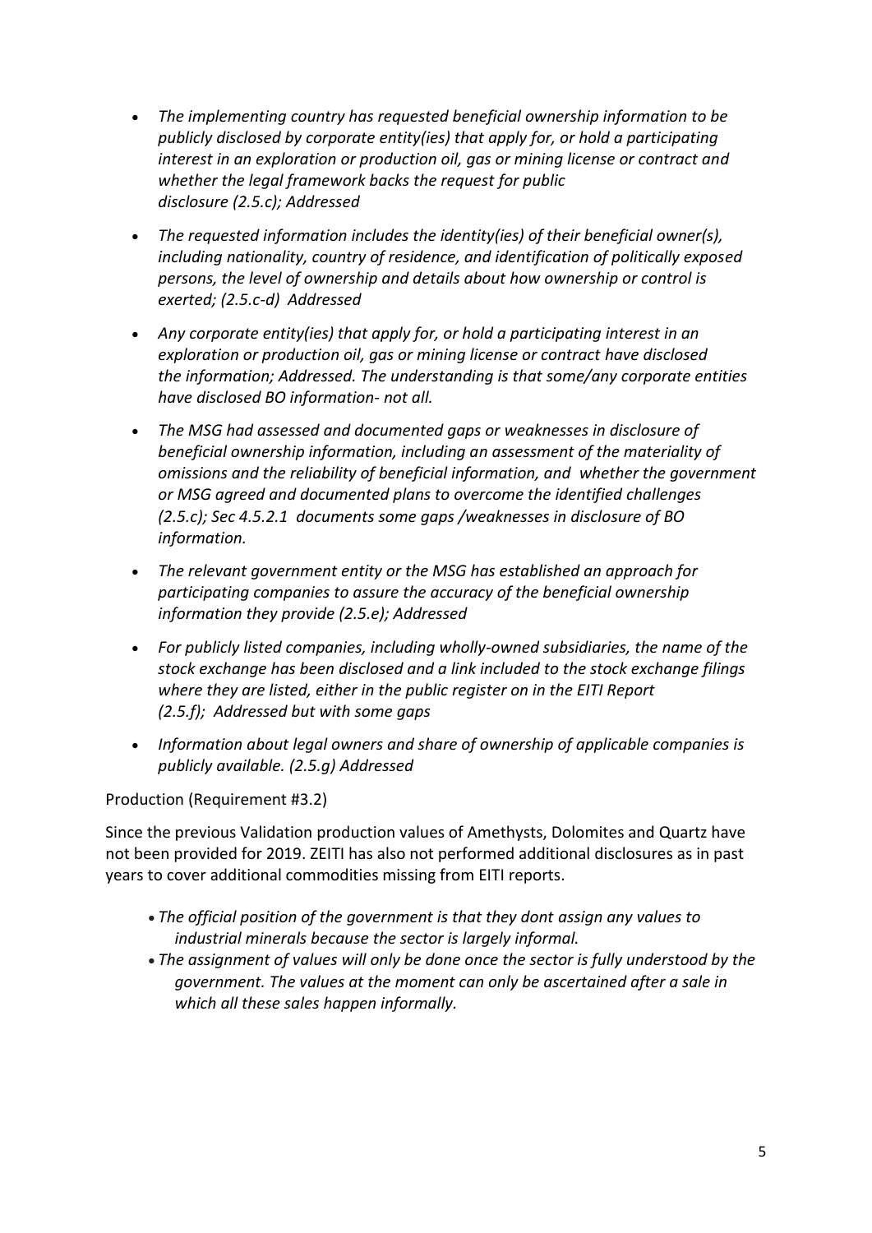- *The implementing country has requested beneficial ownership information to be publicly disclosed by corporate entity(ies) that apply for, or hold a participating interest in an exploration or production oil, gas or mining license or contract and whether the legal framework backs the request for public disclosure (2.5.c); Addressed*
- *The requested information includes the identity(ies) of their beneficial owner(s), including nationality, country of residence, and identification of politically exposed persons, the level of ownership and details about how ownership or control is exerted; (2.5.c-d) Addressed*
- *Any corporate entity(ies) that apply for, or hold a participating interest in an exploration or production oil, gas or mining license or contract have disclosed the information; Addressed. The understanding is that some/any corporate entities have disclosed BO information- not all.*
- *The MSG had assessed and documented gaps or weaknesses in disclosure of beneficial ownership information, including an assessment of the materiality of omissions and the reliability of beneficial information, and whether the government or MSG agreed and documented plans to overcome the identified challenges (2.5.c); Sec 4.5.2.1 documents some gaps /weaknesses in disclosure of BO information.*
- *The relevant government entity or the MSG has established an approach for participating companies to assure the accuracy of the beneficial ownership information they provide (2.5.e); Addressed*
- *For publicly listed companies, including wholly-owned subsidiaries, the name of the stock exchange has been disclosed and a link included to the stock exchange filings where they are listed, either in the public register on in the EITI Report (2.5.f); Addressed but with some gaps*
- *Information about legal owners and share of ownership of applicable companies is publicly available. (2.5.g) Addressed*

Production (Requirement #3.2)

Since the previous Validation production values of Amethysts, Dolomites and Quartz have not been provided for 2019. ZEITI has also not performed additional disclosures as in past years to cover additional commodities missing from EITI reports.

- *The official position of the government is that they dont assign any values to industrial minerals because the sector is largely informal.*
- *The assignment of values will only be done once the sector is fully understood by the government. The values at the moment can only be ascertained after a sale in which all these sales happen informally.*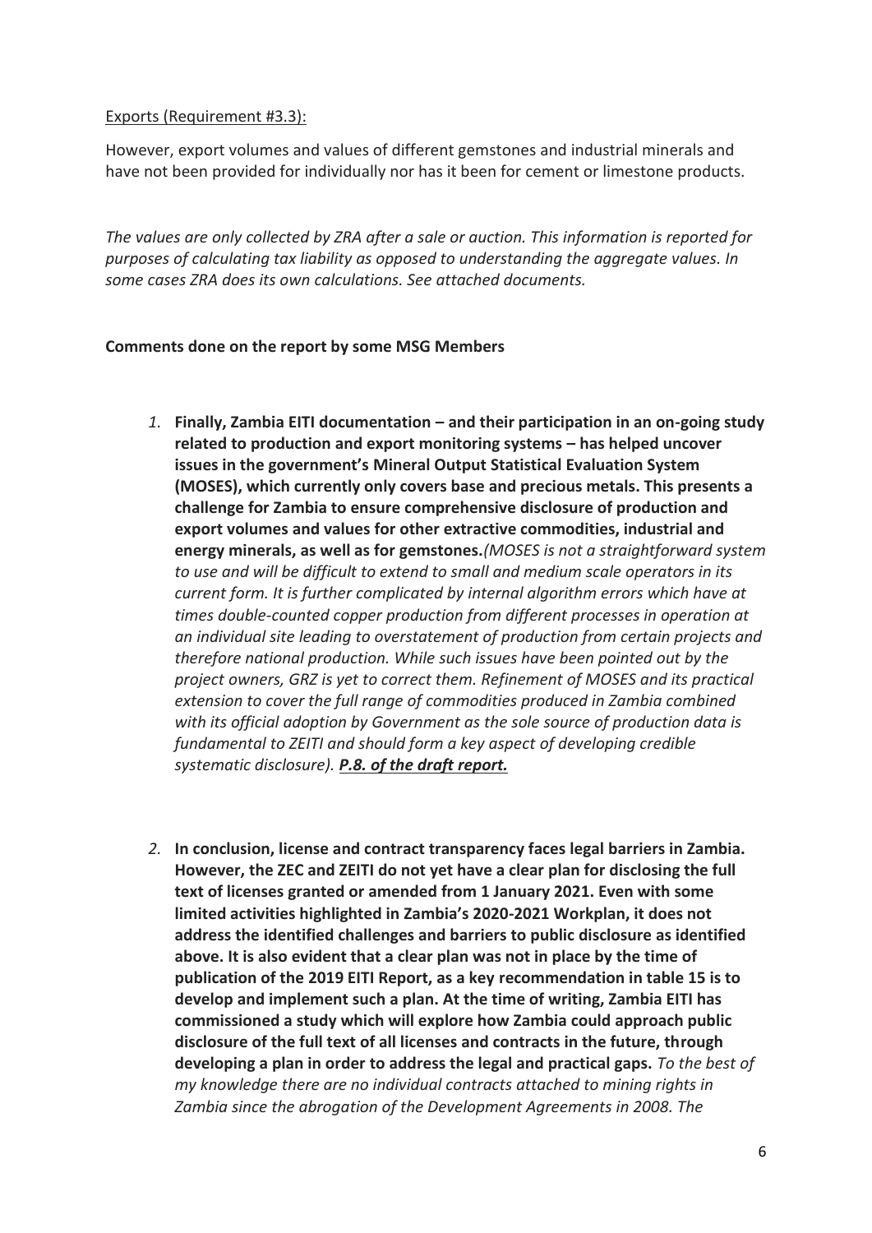### Exports (Requirement #3.3):

However, export volumes and values of different gemstones and industrial minerals and have not been provided for individually nor has it been for cement or limestone products.

*The values are only collected by ZRA after a sale or auction. This information is reported for purposes of calculating tax liability as opposed to understanding the aggregate values. In some cases ZRA does its own calculations. See attached documents.*

# **Comments done on the report by some MSG Members**

- *1.* **Finally, Zambia EITI documentation – and their participation in an on-going study related to production and export monitoring systems – has helped uncover issues in the government's Mineral Output Statistical Evaluation System (MOSES), which currently only covers base and precious metals. This presents a challenge for Zambia to ensure comprehensive disclosure of production and export volumes and values for other extractive commodities, industrial and energy minerals, as well as for gemstones.***(MOSES is not a straightforward system to use and will be difficult to extend to small and medium scale operators in its current form. It is further complicated by internal algorithm errors which have at times double-counted copper production from different processes in operation at an individual site leading to overstatement of production from certain projects and therefore national production. While such issues have been pointed out by the project owners, GRZ is yet to correct them. Refinement of MOSES and its practical extension to cover the full range of commodities produced in Zambia combined with its official adoption by Government as the sole source of production data is fundamental to ZEITI and should form a key aspect of developing credible systematic disclosure). P.8. of the draft report.*
- *2.* **In conclusion, license and contract transparency faces legal barriers in Zambia. However, the ZEC and ZEITI do not yet have a clear plan for disclosing the full text of licenses granted or amended from 1 January 2021. Even with some limited activities highlighted in Zambia's 2020-2021 Workplan, it does not address the identified challenges and barriers to public disclosure as identified above. It is also evident that a clear plan was not in place by the time of publication of the 2019 EITI Report, as a key recommendation in table 15 is to develop and implement such a plan. At the time of writing, Zambia EITI has commissioned a study which will explore how Zambia could approach public disclosure of the full text of all licenses and contracts in the future, through developing a plan in order to address the legal and practical gaps.** *To the best of my knowledge there are no individual contracts attached to mining rights in Zambia since the abrogation of the Development Agreements in 2008. The*